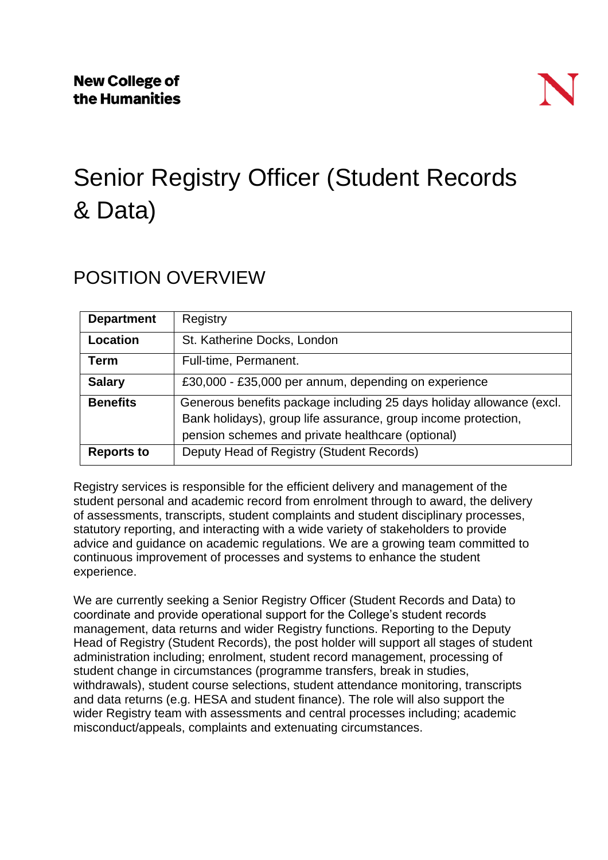# Senior Registry Officer (Student Records & Data)

### POSITION OVERVIEW

| <b>Department</b> | Registry                                                                                                                                                                                    |
|-------------------|---------------------------------------------------------------------------------------------------------------------------------------------------------------------------------------------|
| Location          | St. Katherine Docks, London                                                                                                                                                                 |
| <b>Term</b>       | Full-time, Permanent.                                                                                                                                                                       |
| <b>Salary</b>     | £30,000 - £35,000 per annum, depending on experience                                                                                                                                        |
| <b>Benefits</b>   | Generous benefits package including 25 days holiday allowance (excl.<br>Bank holidays), group life assurance, group income protection,<br>pension schemes and private healthcare (optional) |
| <b>Reports to</b> | Deputy Head of Registry (Student Records)                                                                                                                                                   |

Registry services is responsible for the efficient delivery and management of the student personal and academic record from enrolment through to award, the delivery of assessments, transcripts, student complaints and student disciplinary processes, statutory reporting, and interacting with a wide variety of stakeholders to provide advice and guidance on academic regulations. We are a growing team committed to continuous improvement of processes and systems to enhance the student experience.

We are currently seeking a Senior Registry Officer (Student Records and Data) to coordinate and provide operational support for the College's student records management, data returns and wider Registry functions. Reporting to the Deputy Head of Registry (Student Records), the post holder will support all stages of student administration including; enrolment, student record management, processing of student change in circumstances (programme transfers, break in studies, withdrawals), student course selections, student attendance monitoring, transcripts and data returns (e.g. HESA and student finance). The role will also support the wider Registry team with assessments and central processes including; academic misconduct/appeals, complaints and extenuating circumstances.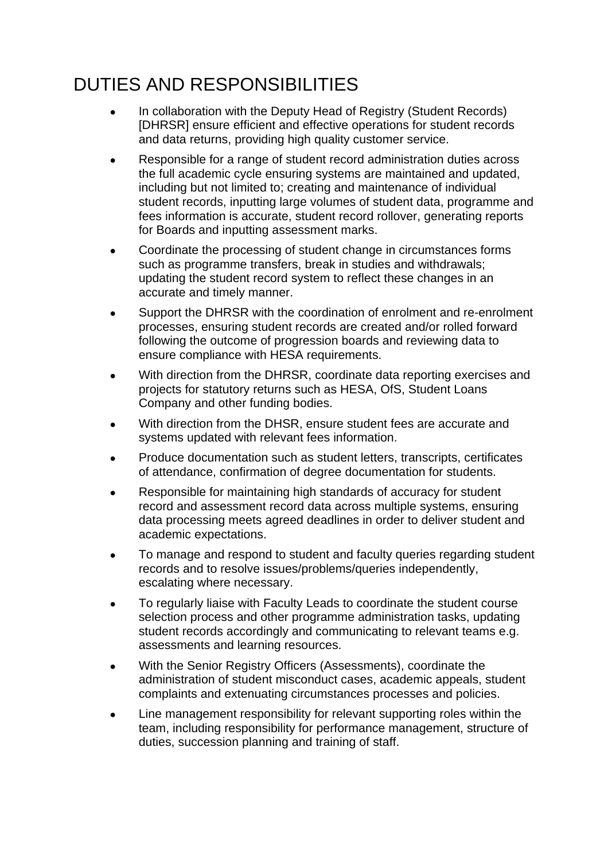## DUTIES AND RESPONSIBILITIES

- In collaboration with the Deputy Head of Registry (Student Records) [DHRSR] ensure efficient and effective operations for student records and data returns, providing high quality customer service.
- Responsible for a range of student record administration duties across the full academic cycle ensuring systems are maintained and updated, including but not limited to; creating and maintenance of individual student records, inputting large volumes of student data, programme and fees information is accurate, student record rollover, generating reports for Boards and inputting assessment marks.
- Coordinate the processing of student change in circumstances forms such as programme transfers, break in studies and withdrawals; updating the student record system to reflect these changes in an accurate and timely manner.
- Support the DHRSR with the coordination of enrolment and re-enrolment processes, ensuring student records are created and/or rolled forward following the outcome of progression boards and reviewing data to ensure compliance with HESA requirements.
- With direction from the DHRSR, coordinate data reporting exercises and projects for statutory returns such as HESA, OfS, Student Loans Company and other funding bodies.
- With direction from the DHSR, ensure student fees are accurate and systems updated with relevant fees information.
- Produce documentation such as student letters, transcripts, certificates of attendance, confirmation of degree documentation for students.
- Responsible for maintaining high standards of accuracy for student record and assessment record data across multiple systems, ensuring data processing meets agreed deadlines in order to deliver student and academic expectations.
- To manage and respond to student and faculty queries regarding student records and to resolve issues/problems/queries independently, escalating where necessary.
- To regularly liaise with Faculty Leads to coordinate the student course selection process and other programme administration tasks, updating student records accordingly and communicating to relevant teams e.g. assessments and learning resources.
- With the Senior Registry Officers (Assessments), coordinate the administration of student misconduct cases, academic appeals, student complaints and extenuating circumstances processes and policies.
- Line management responsibility for relevant supporting roles within the team, including responsibility for performance management, structure of duties, succession planning and training of staff.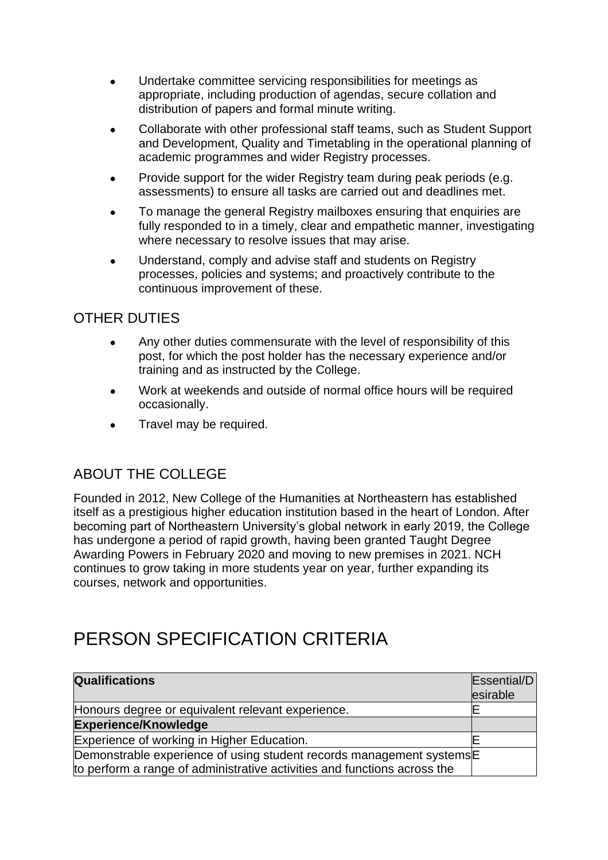- Undertake committee servicing responsibilities for meetings as appropriate, including production of agendas, secure collation and distribution of papers and formal minute writing.
- Collaborate with other professional staff teams, such as Student Support and Development, Quality and Timetabling in the operational planning of academic programmes and wider Registry processes.
- Provide support for the wider Registry team during peak periods (e.g. assessments) to ensure all tasks are carried out and deadlines met.
- To manage the general Registry mailboxes ensuring that enquiries are fully responded to in a timely, clear and empathetic manner, investigating where necessary to resolve issues that may arise.
- Understand, comply and advise staff and students on Registry processes, policies and systems; and proactively contribute to the continuous improvement of these.

#### OTHER DUTIES

- Any other duties commensurate with the level of responsibility of this post, for which the post holder has the necessary experience and/or training and as instructed by the College.
- Work at weekends and outside of normal office hours will be required occasionally.
- Travel may be required.

### ABOUT THE COLLEGE

Founded in 2012, New College of the Humanities at Northeastern has established itself as a prestigious higher education institution based in the heart of London. After becoming part of Northeastern University's global network in early 2019, the College has undergone a period of rapid growth, having been granted Taught Degree Awarding Powers in February 2020 and moving to new premises in 2021. NCH continues to grow taking in more students year on year, further expanding its courses, network and opportunities.

### PERSON SPECIFICATION CRITERIA

| <b>Qualifications</b>                                                    | Essential/D<br>esirable |
|--------------------------------------------------------------------------|-------------------------|
| Honours degree or equivalent relevant experience.                        |                         |
| <b>Experience/Knowledge</b>                                              |                         |
| Experience of working in Higher Education.                               |                         |
| Demonstrable experience of using student records management systems      |                         |
| to perform a range of administrative activities and functions across the |                         |